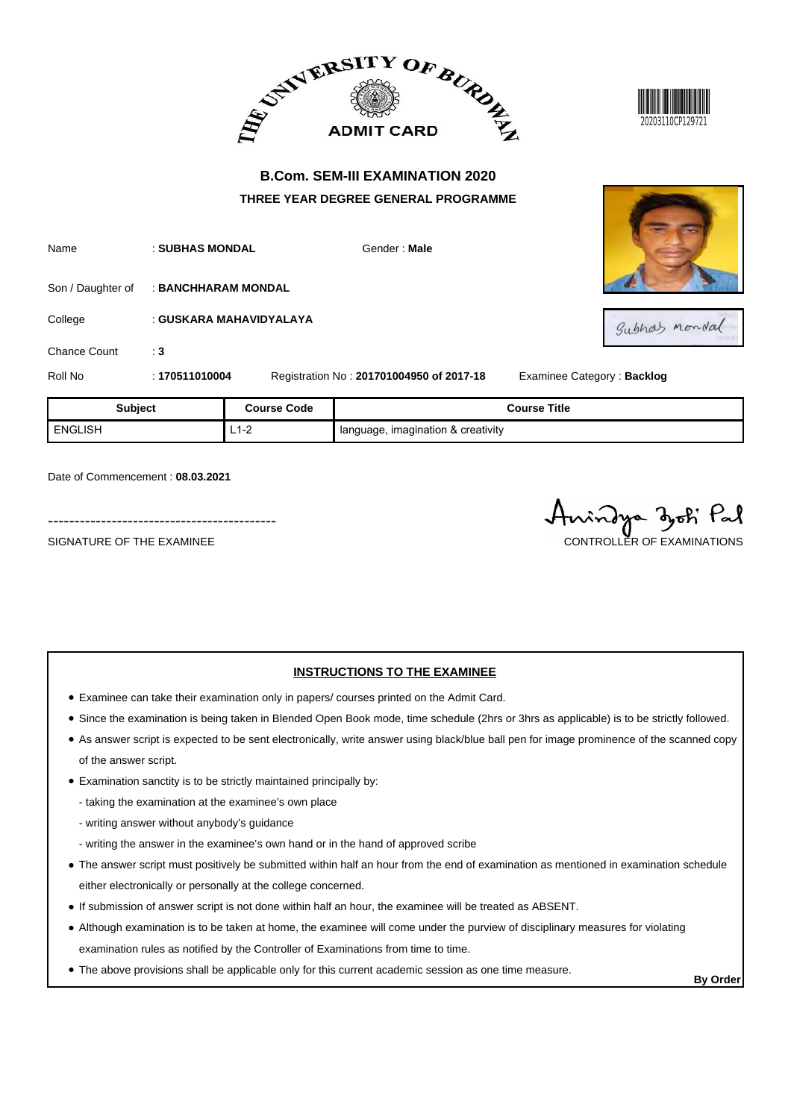



| Name         | : SUBHAS MONDAL                       | Gender: Male                             |          |
|--------------|---------------------------------------|------------------------------------------|----------|
|              | Son / Daughter of : BANCHHARAM MONDAL |                                          |          |
| College      | : GUSKARA MAHAVIDYALAYA               |                                          |          |
| Chance Count | : 3                                   |                                          |          |
| Roll No      | : 170511010004                        | Registration No: 201701004950 of 2017-18 | Examinee |



Subhas mondal

**2** Category : **Backlog** 

| <b>Subject</b> | <b>Course Code</b> | <b>Course Title</b>                  |
|----------------|--------------------|--------------------------------------|
| ENGLISH        | ∟∣−∠               | I language, imagination & creativity |

Date of Commencement : **08.03.2021**

-------------------------------------------

SIGNATURE OF THE EXAMINEE CONTROLLER OF THE EXAMINATIONS

indya zoti Pal

## **INSTRUCTIONS TO THE EXAMINEE**

- Examinee can take their examination only in papers/ courses printed on the Admit Card.
- Since the examination is being taken in Blended Open Book mode, time schedule (2hrs or 3hrs as applicable) is to be strictly followed.
- As answer script is expected to be sent electronically, write answer using black/blue ball pen for image prominence of the scanned copy of the answer script.
- Examination sanctity is to be strictly maintained principally by:

- taking the examination at the examinee's own place

- writing answer without anybody's guidance
- writing the answer in the examinee's own hand or in the hand of approved scribe
- The answer script must positively be submitted within half an hour from the end of examination as mentioned in examination schedule either electronically or personally at the college concerned.
- If submission of answer script is not done within half an hour, the examinee will be treated as ABSENT.
- Although examination is to be taken at home, the examinee will come under the purview of disciplinary measures for violating examination rules as notified by the Controller of Examinations from time to time.
- The above provisions shall be applicable only for this current academic session as one time measure.

**By Order**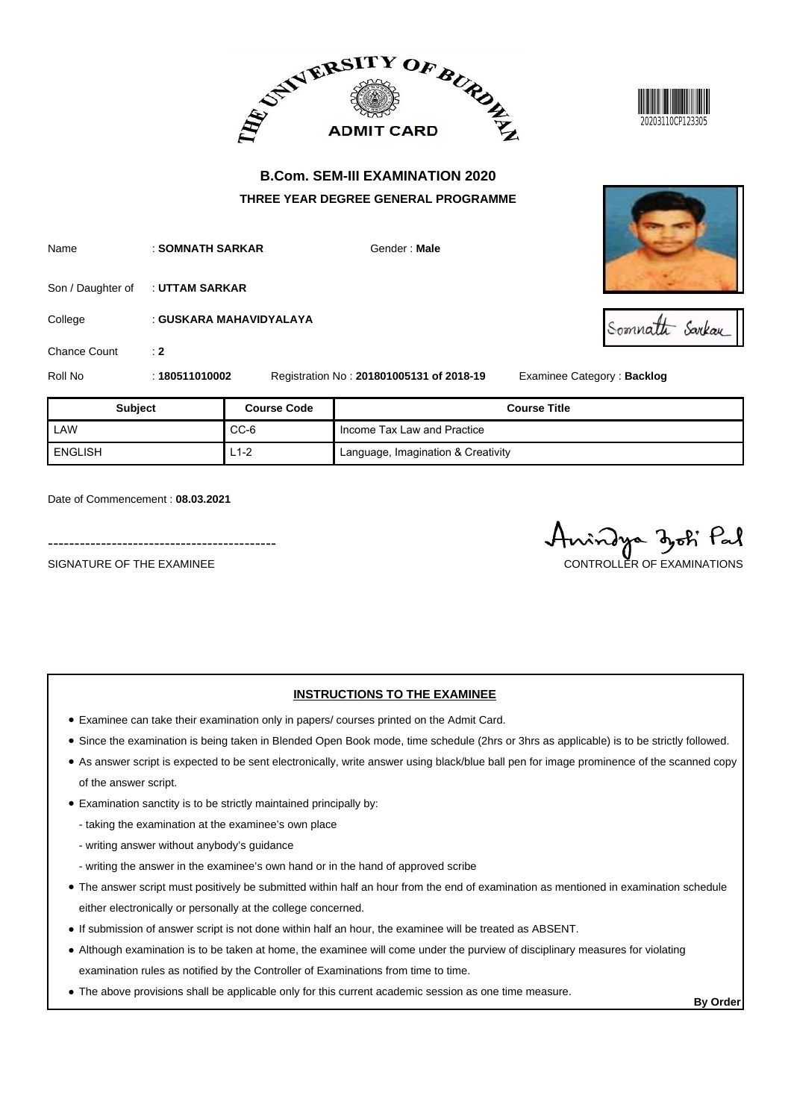



Somnatti Sarkay

# **B.Com. SEM-III EXAMINATION 2020 THREE YEAR DEGREE GENERAL PROGRAMME**

| Name    | : SOMNATH SARKAR                 | Gender: Male |
|---------|----------------------------------|--------------|
|         | Son / Daughter of : UTTAM SARKAR |              |
| College | : GUSKARA MAHAVIDYALAYA          |              |

Chance Count : 2

Roll No : **180511010002** Registration No : **201801005131 of 2018-19** Examinee Category : **Backlog**

| <b>Subject</b> | <b>Course Code</b> | <b>Course Title</b>                |
|----------------|--------------------|------------------------------------|
| LAW            | $CC-6$             | Income Tax Law and Practice        |
| ENGLISH        | $L1-2$             | Language, Imagination & Creativity |

Date of Commencement : **08.03.2021**

-------------------------------------------

SIGNATURE OF THE EXAMINEE CONTROLLER OF EXAMINATIONS

## **INSTRUCTIONS TO THE EXAMINEE**

- Examinee can take their examination only in papers/ courses printed on the Admit Card.
- Since the examination is being taken in Blended Open Book mode, time schedule (2hrs or 3hrs as applicable) is to be strictly followed.
- As answer script is expected to be sent electronically, write answer using black/blue ball pen for image prominence of the scanned copy of the answer script.
- Examination sanctity is to be strictly maintained principally by:
	- taking the examination at the examinee's own place
	- writing answer without anybody's guidance
	- writing the answer in the examinee's own hand or in the hand of approved scribe
- The answer script must positively be submitted within half an hour from the end of examination as mentioned in examination schedule either electronically or personally at the college concerned.
- If submission of answer script is not done within half an hour, the examinee will be treated as ABSENT.
- Although examination is to be taken at home, the examinee will come under the purview of disciplinary measures for violating examination rules as notified by the Controller of Examinations from time to time.
- The above provisions shall be applicable only for this current academic session as one time measure.

**By Order**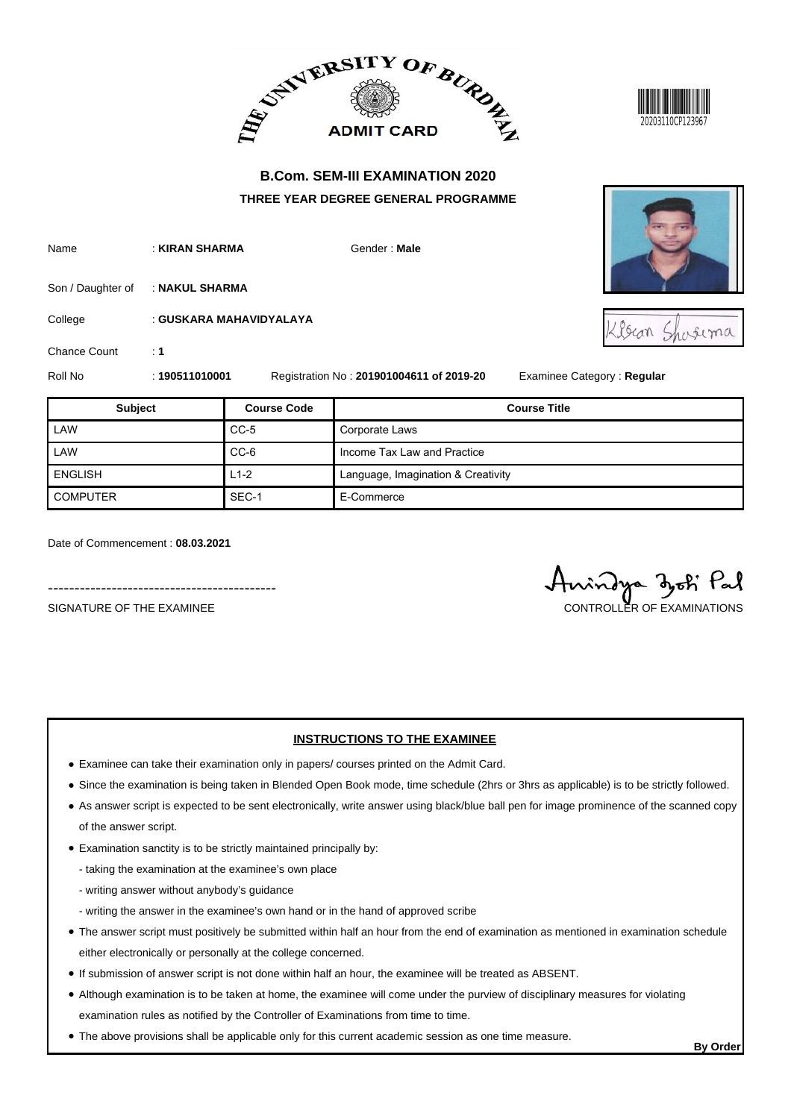



| Name | : KIRAN SHARMA | Gender: Male |
|------|----------------|--------------|
|      |                |              |

Son / Daughter of : **NAKUL SHARMA** 

College : **GUSKARA MAHAVIDYALAYA**

Chance Count : 1

Roll No : **190511010001** Registration No : **201901004611 of 2019-20** Examinee Category : **Regular**

| <b>Subject</b>  | <b>Course Code</b> | <b>Course Title</b>                |
|-----------------|--------------------|------------------------------------|
| LAW             | $CC-5$             | Corporate Laws                     |
| LAW             | CC-6               | Income Tax Law and Practice        |
| <b>ENGLISH</b>  | $L1-2$             | Language, Imagination & Creativity |
| <b>COMPUTER</b> | SEC-1              | E-Commerce                         |

Date of Commencement : **08.03.2021**

-------------------------------------------

- Examinee can take their examination only in papers/ courses printed on the Admit Card.
- Since the examination is being taken in Blended Open Book mode, time schedule (2hrs or 3hrs as applicable) is to be strictly followed.

**INSTRUCTIONS TO THE EXAMINEE**

- As answer script is expected to be sent electronically, write answer using black/blue ball pen for image prominence of the scanned copy of the answer script.
- Examination sanctity is to be strictly maintained principally by:
	- taking the examination at the examinee's own place
	- writing answer without anybody's guidance
	- writing the answer in the examinee's own hand or in the hand of approved scribe
- The answer script must positively be submitted within half an hour from the end of examination as mentioned in examination schedule either electronically or personally at the college concerned.
- If submission of answer script is not done within half an hour, the examinee will be treated as ABSENT.
- Although examination is to be taken at home, the examinee will come under the purview of disciplinary measures for violating examination rules as notified by the Controller of Examinations from time to time.
- The above provisions shall be applicable only for this current academic session as one time measure.



Iscan Shosema

SIGNATURE OF THE EXAMINEE CONTROLLER OF EXAMINATIONS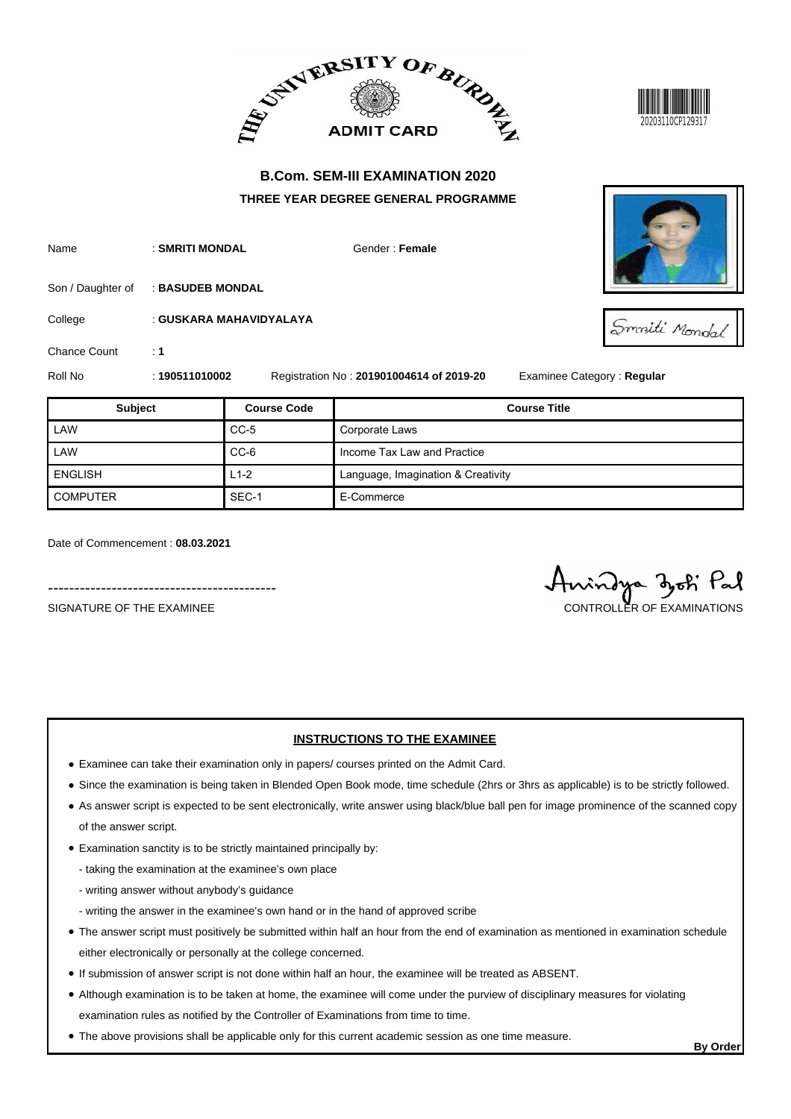



| Name | : SMRITI MONDAL | Gender: Female |
|------|-----------------|----------------|
|      |                 |                |

Son / Daughter of : **BASUDEB MONDAL** 

College : **GUSKARA MAHAVIDYALAYA**

Chance Count : 1

Roll No : **190511010002** Registration No : **201901004614 of 2019-20** Examinee Category : **Regular**

| <b>Subject</b>  | <b>Course Code</b> | <b>Course Title</b>                |
|-----------------|--------------------|------------------------------------|
| LAW             | $CC-5$             | Corporate Laws                     |
| LAW             | CC-6               | Income Tax Law and Practice        |
| <b>ENGLISH</b>  | $L1-2$             | Language, Imagination & Creativity |
| <b>COMPUTER</b> | SEC-1              | E-Commerce                         |

Date of Commencement : **08.03.2021**

SIGNATURE OF THE EXAMINEE CONTROLLER OF EXAMINATIONS

-------------------------------------------

## **INSTRUCTIONS TO THE EXAMINEE**

- Examinee can take their examination only in papers/ courses printed on the Admit Card.
- Since the examination is being taken in Blended Open Book mode, time schedule (2hrs or 3hrs as applicable) is to be strictly followed.
- As answer script is expected to be sent electronically, write answer using black/blue ball pen for image prominence of the scanned copy of the answer script.
- Examination sanctity is to be strictly maintained principally by:
	- taking the examination at the examinee's own place
	- writing answer without anybody's guidance
	- writing the answer in the examinee's own hand or in the hand of approved scribe
- The answer script must positively be submitted within half an hour from the end of examination as mentioned in examination schedule either electronically or personally at the college concerned.
- If submission of answer script is not done within half an hour, the examinee will be treated as ABSENT.
- Although examination is to be taken at home, the examinee will come under the purview of disciplinary measures for violating examination rules as notified by the Controller of Examinations from time to time.
- The above provisions shall be applicable only for this current academic session as one time measure.





**By Order**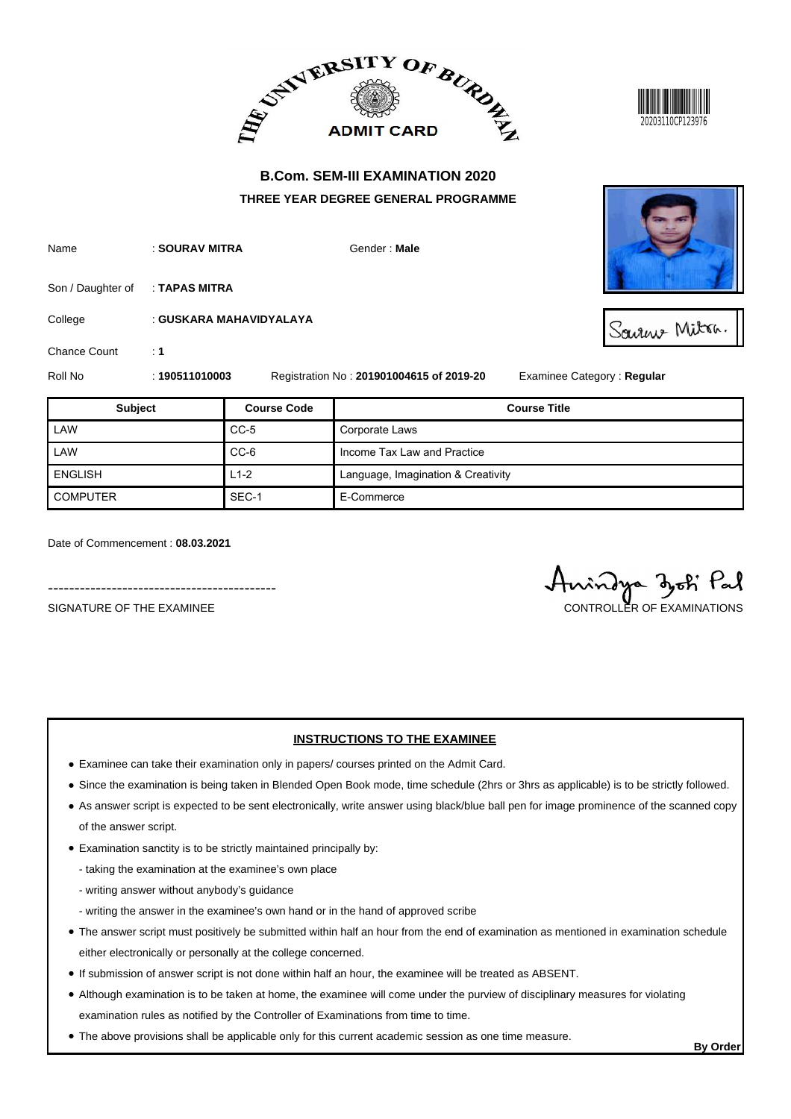



| Name | : SOURAV MITRA | Gender: Male |
|------|----------------|--------------|
|      |                |              |
|      |                |              |

Son / Daughter of : **TAPAS MITRA** 

College : **GUSKARA MAHAVIDYALAYA**

Chance Count : 1

Roll No : **190511010003** Registration No : **201901004615 of 2019-20** Examinee Category : **Regular**

| <b>Subject</b>  | <b>Course Code</b> | <b>Course Title</b>                |
|-----------------|--------------------|------------------------------------|
| LAW             | $CC-5$             | Corporate Laws                     |
| LAW             | $CC-6$             | Income Tax Law and Practice        |
| <b>ENGLISH</b>  | $L1-2$             | Language, Imagination & Creativity |
| <b>COMPUTER</b> | SEC-1              | E-Commerce                         |

Date of Commencement : **08.03.2021**

-------------------------------------------

## **INSTRUCTIONS TO THE EXAMINEE**

- Examinee can take their examination only in papers/ courses printed on the Admit Card.
- Since the examination is being taken in Blended Open Book mode, time schedule (2hrs or 3hrs as applicable) is to be strictly followed.
- As answer script is expected to be sent electronically, write answer using black/blue ball pen for image prominence of the scanned copy of the answer script.
- Examination sanctity is to be strictly maintained principally by:
	- taking the examination at the examinee's own place
	- writing answer without anybody's guidance
	- writing the answer in the examinee's own hand or in the hand of approved scribe
- The answer script must positively be submitted within half an hour from the end of examination as mentioned in examination schedule either electronically or personally at the college concerned.
- If submission of answer script is not done within half an hour, the examinee will be treated as ABSENT.
- Although examination is to be taken at home, the examinee will come under the purview of disciplinary measures for violating examination rules as notified by the Controller of Examinations from time to time.
- The above provisions shall be applicable only for this current academic session as one time measure.



SALAME Mitra.

SIGNATURE OF THE EXAMINEE CONTROLLER OF EXAMINATIONS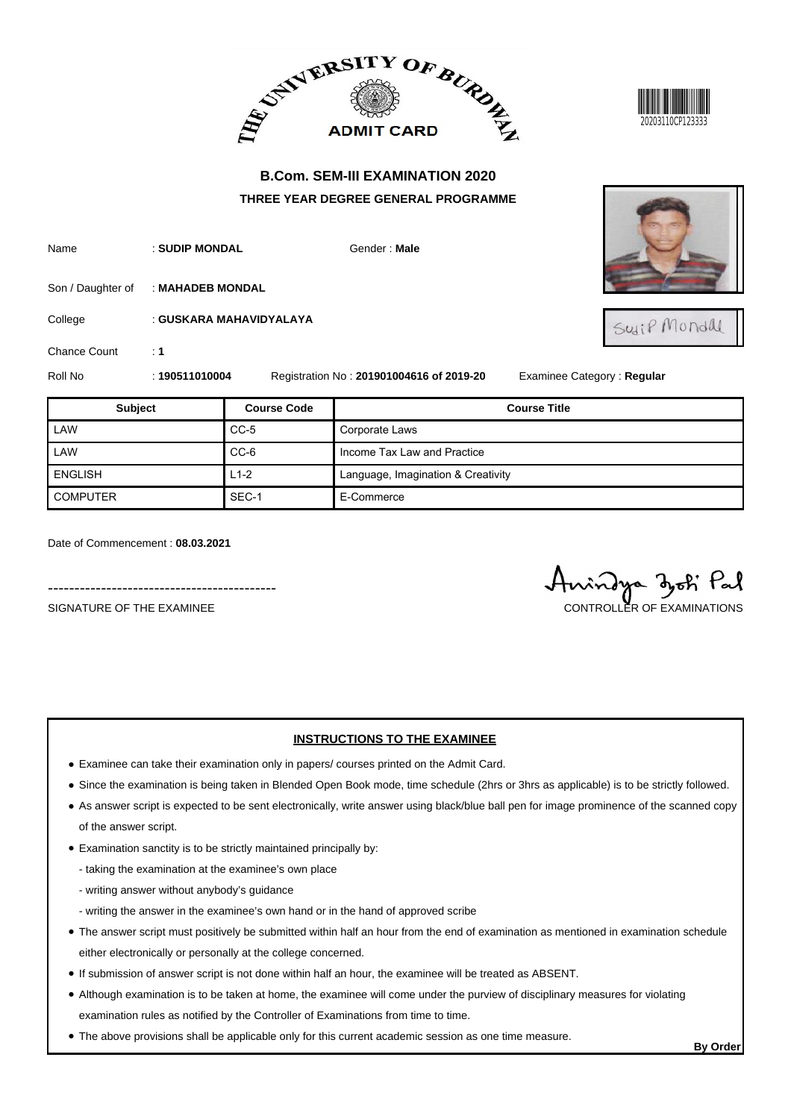



Name : **SUDIP MONDAL Gender : Male** 

Son / Daughter of : **MAHADEB MONDAL** 

College : **GUSKARA MAHAVIDYALAYA**

Chance Count : 1

Roll No : **190511010004** Registration No : **201901004616 of 2019-20** Examinee Category : **Regular**

| <b>Subject</b>  | <b>Course Code</b> | <b>Course Title</b>                |
|-----------------|--------------------|------------------------------------|
| LAW             | $CC-5$             | Corporate Laws                     |
| LAW             | $CC-6$             | Income Tax Law and Practice        |
| <b>ENGLISH</b>  | $L1-2$             | Language, Imagination & Creativity |
| <b>COMPUTER</b> | SEC-1              | E-Commerce                         |

Date of Commencement : **08.03.2021**

# SIGNATURE OF THE EXAMINEE CONTROLLER OF EXAMINATIONS

### **INSTRUCTIONS TO THE EXAMINEE**

- Examinee can take their examination only in papers/ courses printed on the Admit Card.
- Since the examination is being taken in Blended Open Book mode, time schedule (2hrs or 3hrs as applicable) is to be strictly followed.
- As answer script is expected to be sent electronically, write answer using black/blue ball pen for image prominence of the scanned copy of the answer script.
- Examination sanctity is to be strictly maintained principally by:
	- taking the examination at the examinee's own place
	- writing answer without anybody's guidance
	- writing the answer in the examinee's own hand or in the hand of approved scribe
- The answer script must positively be submitted within half an hour from the end of examination as mentioned in examination schedule either electronically or personally at the college concerned.
- If submission of answer script is not done within half an hour, the examinee will be treated as ABSENT.
- Although examination is to be taken at home, the examinee will come under the purview of disciplinary measures for violating examination rules as notified by the Controller of Examinations from time to time.
- The above provisions shall be applicable only for this current academic session as one time measure.



Suip Mondal

-------------------------------------------